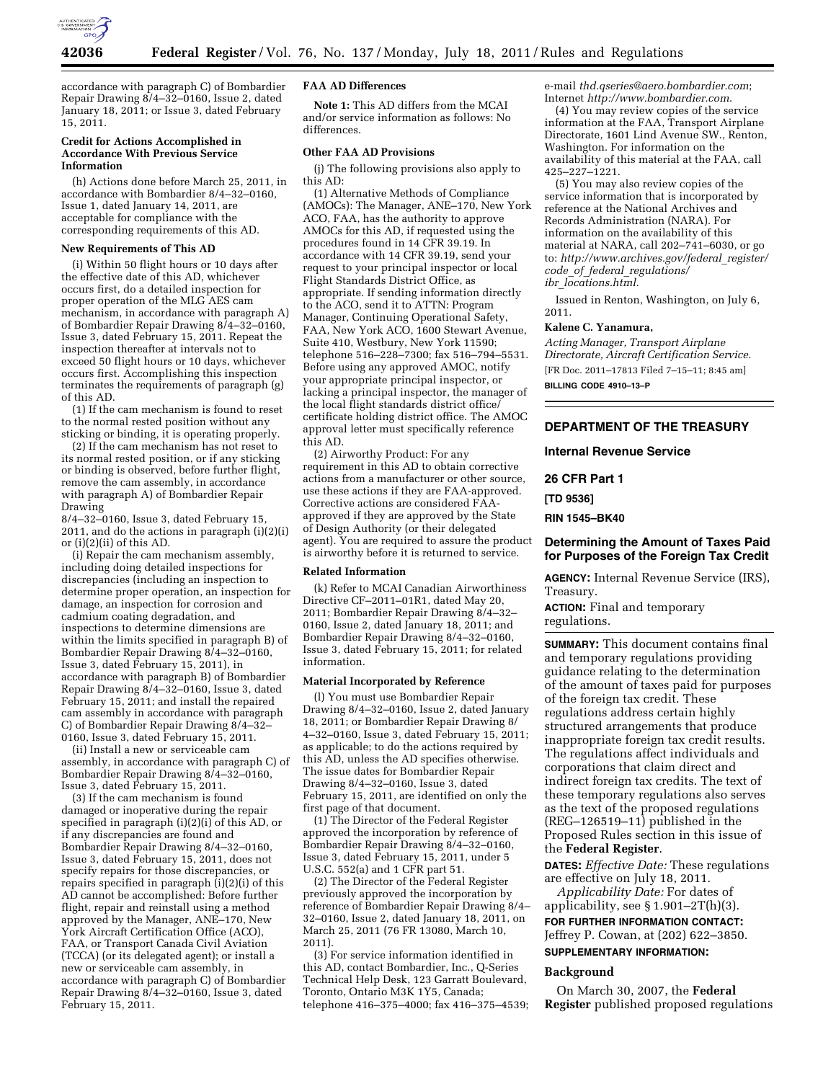

accordance with paragraph C) of Bombardier Repair Drawing  $\frac{8}{4} - \frac{32}{160}$ , Issue 2, dated January 18, 2011; or Issue 3, dated February 15, 2011.

#### **Credit for Actions Accomplished in Accordance With Previous Service Information**

(h) Actions done before March 25, 2011, in accordance with Bombardier 8/4–32–0160, Issue 1, dated January 14, 2011, are acceptable for compliance with the corresponding requirements of this AD.

# **New Requirements of This AD**

(i) Within 50 flight hours or 10 days after the effective date of this AD, whichever occurs first, do a detailed inspection for proper operation of the MLG AES cam mechanism, in accordance with paragraph A) of Bombardier Repair Drawing  $8/4-32-0160$ , Issue 3, dated February 15, 2011. Repeat the inspection thereafter at intervals not to exceed 50 flight hours or 10 days, whichever occurs first. Accomplishing this inspection terminates the requirements of paragraph (g) of this AD.

(1) If the cam mechanism is found to reset to the normal rested position without any sticking or binding, it is operating properly.

(2) If the cam mechanism has not reset to its normal rested position, or if any sticking or binding is observed, before further flight, remove the cam assembly, in accordance with paragraph A) of Bombardier Repair Drawing

8/4–32–0160, Issue 3, dated February 15, 2011, and do the actions in paragraph (i)(2)(i) or (i)(2)(ii) of this AD.

(i) Repair the cam mechanism assembly, including doing detailed inspections for discrepancies (including an inspection to determine proper operation, an inspection for damage, an inspection for corrosion and cadmium coating degradation, and inspections to determine dimensions are within the limits specified in paragraph B) of Bombardier Repair Drawing 8/4–32–0160, Issue 3, dated February 15, 2011), in accordance with paragraph B) of Bombardier Repair Drawing 8/4-32-0160, Issue 3, dated February 15, 2011; and install the repaired cam assembly in accordance with paragraph C) of Bombardier Repair Drawing  $\frac{8}{4} - \frac{32}{4}$ 0160, Issue 3, dated February 15, 2011.

(ii) Install a new or serviceable cam assembly, in accordance with paragraph C) of Bombardier Repair Drawing 8/4–32–0160, Issue 3, dated February 15, 2011.

(3) If the cam mechanism is found damaged or inoperative during the repair specified in paragraph (i)(2)(i) of this AD, or if any discrepancies are found and Bombardier Repair Drawing 8/4–32–0160, Issue 3, dated February 15, 2011, does not specify repairs for those discrepancies, or repairs specified in paragraph (i)(2)(i) of this AD cannot be accomplished: Before further flight, repair and reinstall using a method approved by the Manager, ANE–170, New York Aircraft Certification Office (ACO), FAA, or Transport Canada Civil Aviation (TCCA) (or its delegated agent); or install a new or serviceable cam assembly, in accordance with paragraph C) of Bombardier Repair Drawing 8/4–32–0160, Issue 3, dated February 15, 2011.

### **FAA AD Differences**

**Note 1:** This AD differs from the MCAI and/or service information as follows: No differences.

### **Other FAA AD Provisions**

(j) The following provisions also apply to this AD:

(1) Alternative Methods of Compliance (AMOCs): The Manager, ANE–170, New York ACO, FAA, has the authority to approve AMOCs for this AD, if requested using the procedures found in 14 CFR 39.19. In accordance with 14 CFR 39.19, send your request to your principal inspector or local Flight Standards District Office, as appropriate. If sending information directly to the ACO, send it to ATTN: Program Manager, Continuing Operational Safety, FAA, New York ACO, 1600 Stewart Avenue, Suite 410, Westbury, New York 11590; telephone 516–228–7300; fax 516–794–5531. Before using any approved AMOC, notify your appropriate principal inspector, or lacking a principal inspector, the manager of the local flight standards district office/ certificate holding district office. The AMOC approval letter must specifically reference this AD.

(2) Airworthy Product: For any requirement in this AD to obtain corrective actions from a manufacturer or other source, use these actions if they are FAA-approved. Corrective actions are considered FAAapproved if they are approved by the State of Design Authority (or their delegated agent). You are required to assure the product is airworthy before it is returned to service.

### **Related Information**

(k) Refer to MCAI Canadian Airworthiness Directive CF–2011–01R1, dated May 20, 2011; Bombardier Repair Drawing 8/4–32– 0160, Issue 2, dated January 18, 2011; and Bombardier Repair Drawing 8/4–32–0160, Issue 3, dated February 15, 2011; for related information.

#### **Material Incorporated by Reference**

(l) You must use Bombardier Repair Drawing 8/4–32–0160, Issue 2, dated January 18, 2011; or Bombardier Repair Drawing 8/ 4–32–0160, Issue 3, dated February 15, 2011; as applicable; to do the actions required by this AD, unless the AD specifies otherwise. The issue dates for Bombardier Repair Drawing 8/4–32–0160, Issue 3, dated February 15, 2011, are identified on only the first page of that document.

(1) The Director of the Federal Register approved the incorporation by reference of Bombardier Repair Drawing 8/4–32–0160, Issue 3, dated February 15, 2011, under 5 U.S.C. 552(a) and 1 CFR part 51.

(2) The Director of the Federal Register previously approved the incorporation by reference of Bombardier Repair Drawing 8/4– 32–0160, Issue 2, dated January 18, 2011, on March 25, 2011 (76 FR 13080, March 10, 2011).

(3) For service information identified in this AD, contact Bombardier, Inc., Q-Series Technical Help Desk, 123 Garratt Boulevard, Toronto, Ontario M3K 1Y5, Canada; telephone 416–375–4000; fax 416–375–4539; e-mail *[thd.qseries@aero.bombardier.com](mailto:thd.qseries@aero.bombardier.com)*; Internet *<http://www.bombardier.com>*.

(4) You may review copies of the service information at the FAA, Transport Airplane Directorate, 1601 Lind Avenue SW., Renton, Washington. For information on the availability of this material at the FAA, call 425–227–1221.

(5) You may also review copies of the service information that is incorporated by reference at the National Archives and Records Administration (NARA). For information on the availability of this material at NARA, call 202–741–6030, or go to: *[http://www.archives.gov/federal](http://www.archives.gov/federal_register/code_of_federal_regulations/ibr_locations.html)*\_*register/ code*\_*of*\_*federal*\_*[regulations/](http://www.archives.gov/federal_register/code_of_federal_regulations/ibr_locations.html) ibr*\_*[locations.html.](http://www.archives.gov/federal_register/code_of_federal_regulations/ibr_locations.html)* 

Issued in Renton, Washington, on July 6, 2011.

# **Kalene C. Yanamura,**

*Acting Manager, Transport Airplane Directorate, Aircraft Certification Service.*  [FR Doc. 2011–17813 Filed 7–15–11; 8:45 am] **BILLING CODE 4910–13–P** 

# **DEPARTMENT OF THE TREASURY**

# **Internal Revenue Service**

**26 CFR Part 1** 

**[TD 9536]** 

**RIN 1545–BK40** 

# **Determining the Amount of Taxes Paid for Purposes of the Foreign Tax Credit**

**AGENCY:** Internal Revenue Service (IRS), Treasury.

**ACTION:** Final and temporary regulations.

**SUMMARY:** This document contains final and temporary regulations providing guidance relating to the determination of the amount of taxes paid for purposes of the foreign tax credit. These regulations address certain highly structured arrangements that produce inappropriate foreign tax credit results. The regulations affect individuals and corporations that claim direct and indirect foreign tax credits. The text of these temporary regulations also serves as the text of the proposed regulations (REG–126519–11) published in the Proposed Rules section in this issue of the **Federal Register**.

**DATES:** *Effective Date:* These regulations are effective on July 18, 2011.

*Applicability Date:* For dates of applicability, see  $\S 1.901 - 2T(h)(3)$ .

**FOR FURTHER INFORMATION CONTACT:**  Jeffrey P. Cowan, at (202) 622–3850.

# **SUPPLEMENTARY INFORMATION:**

#### **Background**

On March 30, 2007, the **Federal Register** published proposed regulations